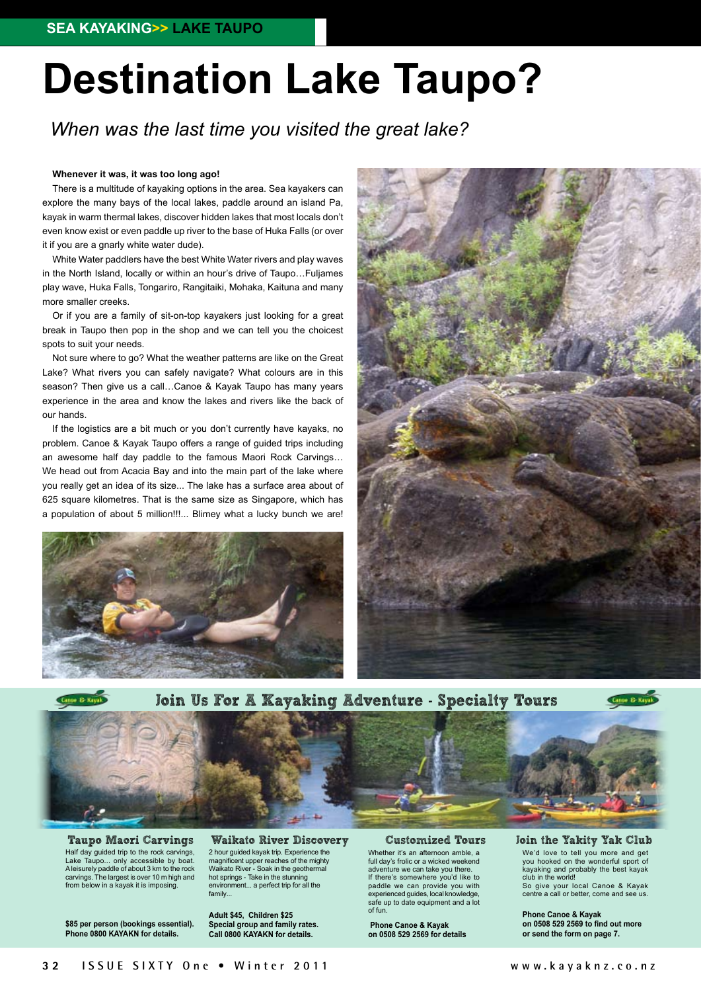# **Destination Lake Taupo?**

*When was the last time you visited the great lake?*

#### **Whenever it was, it was too long ago!**

There is a multitude of kayaking options in the area. Sea kayakers can explore the many bays of the local lakes, paddle around an island Pa, kayak in warm thermal lakes, discover hidden lakes that most locals don't even know exist or even paddle up river to the base of Huka Falls (or over it if you are a gnarly white water dude).

White Water paddlers have the best White Water rivers and play waves in the North Island, locally or within an hour's drive of Taupo…Fuljames play wave, Huka Falls, Tongariro, Rangitaiki, Mohaka, Kaituna and many more smaller creeks.

Or if you are a family of sit-on-top kayakers just looking for a great break in Taupo then pop in the shop and we can tell you the choicest spots to suit your needs.

Not sure where to go? What the weather patterns are like on the Great Lake? What rivers you can safely navigate? What colours are in this season? Then give us a call...Canoe & Kayak Taupo has many years experience in the area and know the lakes and rivers like the back of our hands.

If the logistics are a bit much or you don't currently have kayaks, no problem. Canoe & Kayak Taupo offers a range of guided trips including an awesome half day paddle to the famous Maori Rock Carvings… We head out from Acacia Bay and into the main part of the lake where you really get an idea of its size... The lake has a surface area about of 625 square kilometres. That is the same size as Singapore, which has a population of about 5 million!!!... Blimey what a lucky bunch we are!







Half day guided trip to the rock carvings, Lake Taupo... only accessible by boat. A leisurely paddle of about 3 km to the rock carvings. The largest is over 10 m high and from below in a kayak it is imposing.

**\$85 per person (bookings essential). Phone 0800 KAYAKN for details.**

Taupo Maori Carvings Waikato River Discovery 2 hour guided kayak trip. Experience the magnificent upper reaches of the mighty Waikato River - Soak in the geothermal hot springs - Take in the stunning environment... a perfect trip for all the family...

> **Adult \$45, Children \$25 Special group and family rates. Call 0800 KAYAKN for details.**

#### Customized Tours

Whether it's an afternoon amble, a full day's frolic or a wicked weekend adventure we can take you there. If there's somewhere you'd like to paddle we can provide you with experienced guides, local knowledge, safe up to date equipment and a lot of fun.

**Phone Canoe & Kayak on 0508 529 2569 for details** Join the Yakity Yak Club We'd love to tell you more and get you hooked on the wonderful sport of kayaking and probably the best kayak club in the world!

So give your local Canoe & Kayak centre a call or better, come and see us.

**Phone Canoe & Kayak on 0508 529 2569 to find out more or send the form on page 7.**